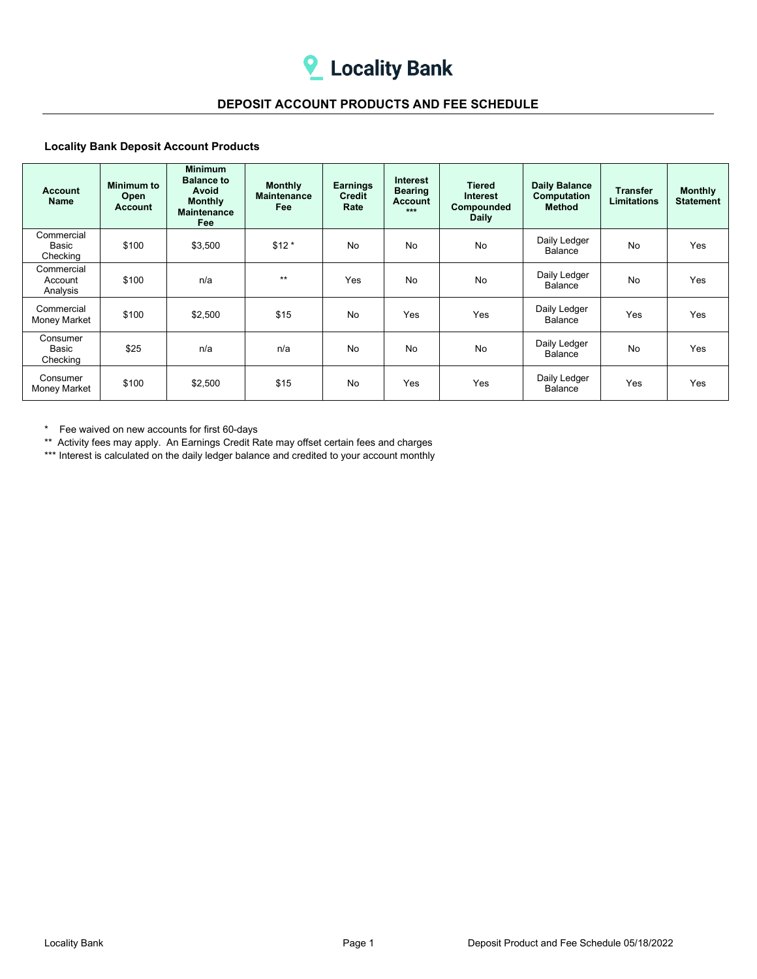## **DEPOSIT ACCOUNT PRODUCTS AND FEE SCHEDULE**

## **Locality Bank Deposit Account Products**

| <b>Account</b><br>Name               | Minimum to<br>Open<br>Account | <b>Minimum</b><br><b>Balance to</b><br>Avoid<br><b>Monthly</b><br><b>Maintenance</b><br>Fee | <b>Monthly</b><br><b>Maintenance</b><br><b>Fee</b> | <b>Earnings</b><br>Credit<br>Rate | <b>Interest</b><br><b>Bearing</b><br><b>Account</b><br>$***$ | <b>Tiered</b><br>Interest<br>Compounded<br><b>Daily</b> | <b>Daily Balance</b><br>Computation<br>Method | Transfer<br><b>Limitations</b> | <b>Monthly</b><br><b>Statement</b> |
|--------------------------------------|-------------------------------|---------------------------------------------------------------------------------------------|----------------------------------------------------|-----------------------------------|--------------------------------------------------------------|---------------------------------------------------------|-----------------------------------------------|--------------------------------|------------------------------------|
| Commercial<br>Basic<br>Checking      | \$100                         | \$3,500                                                                                     | $$12*$                                             | <b>No</b>                         | No                                                           | No                                                      | Daily Ledger<br>Balance                       | <b>No</b>                      | Yes                                |
| Commercial<br>Account<br>Analysis    | \$100                         | n/a                                                                                         | $**$                                               | <b>Yes</b>                        | No                                                           | No                                                      | Daily Ledger<br>Balance                       | No                             | Yes                                |
| Commercial<br>Money Market           | \$100                         | \$2,500                                                                                     | \$15                                               | <b>No</b>                         | <b>Yes</b>                                                   | Yes                                                     | Daily Ledger<br>Balance                       | Yes                            | Yes                                |
| Consumer<br><b>Basic</b><br>Checking | \$25                          | n/a                                                                                         | n/a                                                | <b>No</b>                         | No                                                           | No                                                      | Daily Ledger<br>Balance                       | <b>No</b>                      | Yes                                |
| Consumer<br>Money Market             | \$100                         | \$2,500                                                                                     | \$15                                               | <b>No</b>                         | Yes                                                          | Yes                                                     | Daily Ledger<br>Balance                       | Yes                            | Yes                                |

\* Fee waived on new accounts for first 60-days

\*\* Activity fees may apply. An Earnings Credit Rate may offset certain fees and charges

\*\*\* Interest is calculated on the daily ledger balance and credited to your account monthly